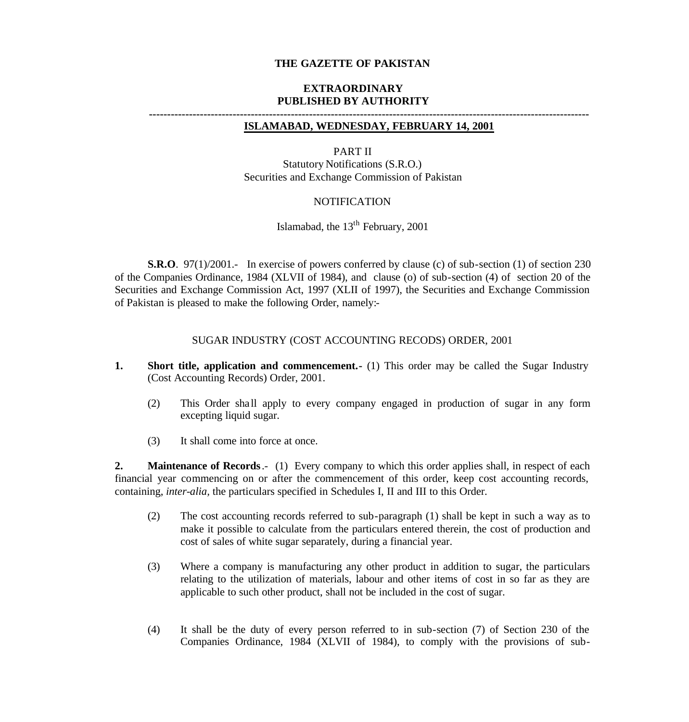### **THE GAZETTE OF PAKISTAN**

#### **EXTRAORDINARY PUBLISHED BY AUTHORITY**

### **-------------------------------------------------------------------------------------------------------------------------**

### **ISLAMABAD, WEDNESDAY, FEBRUARY 14, 2001**

#### PART II

Statutory Notifications (S.R.O.) Securities and Exchange Commission of Pakistan

### NOTIFICATION

Islamabad, the  $13<sup>th</sup>$  February, 2001

**S.R.O**. 97(1)/2001.- In exercise of powers conferred by clause (c) of sub-section (1) of section 230 of the Companies Ordinance, 1984 (XLVII of 1984), and clause (o) of sub-section (4) of section 20 of the Securities and Exchange Commission Act, 1997 (XLII of 1997), the Securities and Exchange Commission of Pakistan is pleased to make the following Order, namely:-

#### SUGAR INDUSTRY (COST ACCOUNTING RECODS) ORDER, 2001

- **1. Short title, application and commencement.** (1) This order may be called the Sugar Industry (Cost Accounting Records) Order, 2001.
	- (2) This Order sha ll apply to every company engaged in production of sugar in any form excepting liquid sugar.
	- (3) It shall come into force at once.

**2. Maintenance of Records**.- (1) Every company to which this order applies shall, in respect of each financial year commencing on or after the commencement of this order, keep cost accounting records, containing, *inter-alia,* the particulars specified in Schedules I, II and III to this Order.

- (2) The cost accounting records referred to sub-paragraph (1) shall be kept in such a way as to make it possible to calculate from the particulars entered therein, the cost of production and cost of sales of white sugar separately, during a financial year.
- (3) Where a company is manufacturing any other product in addition to sugar, the particulars relating to the utilization of materials, labour and other items of cost in so far as they are applicable to such other product, shall not be included in the cost of sugar.
- (4) It shall be the duty of every person referred to in sub-section (7) of Section 230 of the Companies Ordinance, 1984 (XLVII of 1984), to comply with the provisions of sub-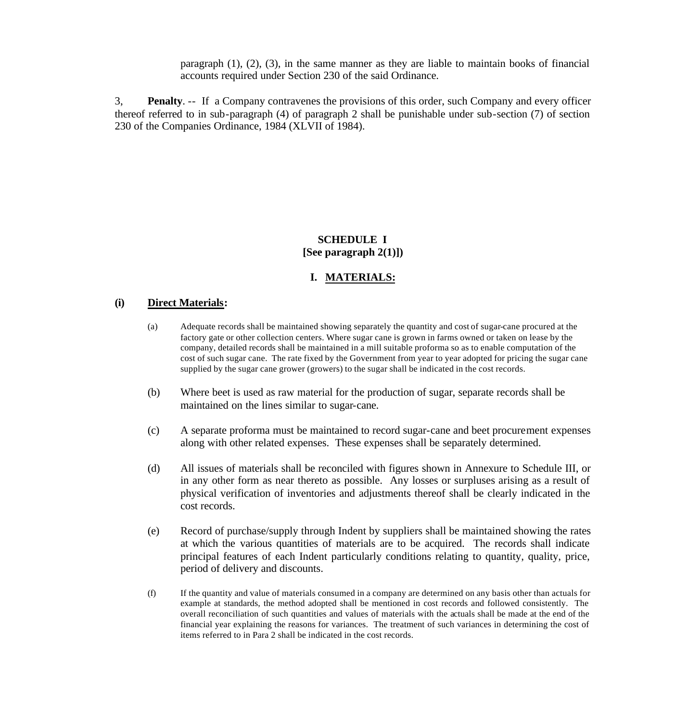paragraph (1), (2), (3), in the same manner as they are liable to maintain books of financial accounts required under Section 230 of the said Ordinance.

3, **Penalty**. -- If a Company contravenes the provisions of this order, such Company and every officer thereof referred to in sub-paragraph (4) of paragraph 2 shall be punishable under sub-section (7) of section 230 of the Companies Ordinance, 1984 (XLVII of 1984).

### **SCHEDULE I [See paragraph 2(1)])**

### **I. MATERIALS:**

### **(i) Direct Materials:**

- (a) Adequate records shall be maintained showing separately the quantity and cost of sugar-cane procured at the factory gate or other collection centers. Where sugar cane is grown in farms owned or taken on lease by the company, detailed records shall be maintained in a mill suitable proforma so as to enable computation of the cost of such sugar cane. The rate fixed by the Government from year to year adopted for pricing the sugar cane supplied by the sugar cane grower (growers) to the sugar shall be indicated in the cost records.
- (b) Where beet is used as raw material for the production of sugar, separate records shall be maintained on the lines similar to sugar-cane.
- (c) A separate proforma must be maintained to record sugar-cane and beet procurement expenses along with other related expenses. These expenses shall be separately determined.
- (d) All issues of materials shall be reconciled with figures shown in Annexure to Schedule III, or in any other form as near thereto as possible. Any losses or surpluses arising as a result of physical verification of inventories and adjustments thereof shall be clearly indicated in the cost records.
- (e) Record of purchase/supply through Indent by suppliers shall be maintained showing the rates at which the various quantities of materials are to be acquired. The records shall indicate principal features of each Indent particularly conditions relating to quantity, quality, price, period of delivery and discounts.
- (f) If the quantity and value of materials consumed in a company are determined on any basis other than actuals for example at standards, the method adopted shall be mentioned in cost records and followed consistently. The overall reconciliation of such quantities and values of materials with the actuals shall be made at the end of the financial year explaining the reasons for variances. The treatment of such variances in determining the cost of items referred to in Para 2 shall be indicated in the cost records.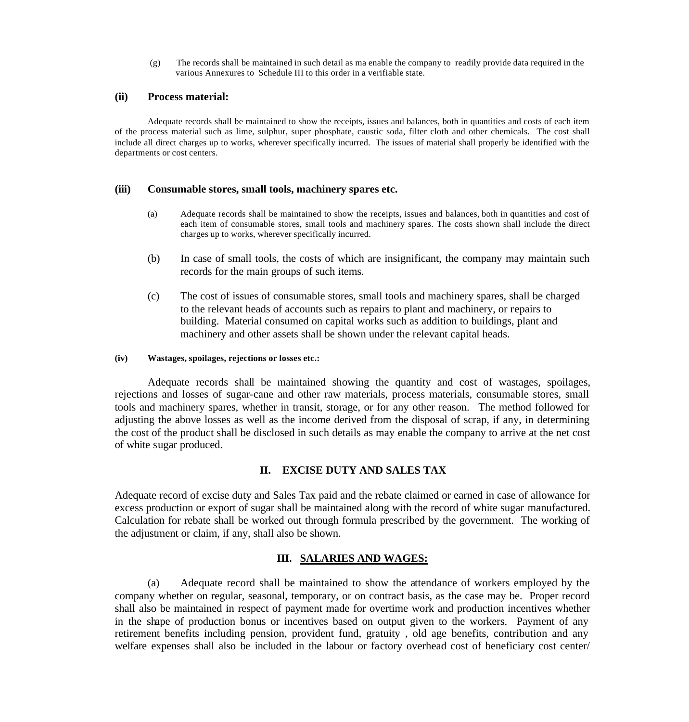(g) The records shall be maintained in such detail as ma enable the company to readily provide data required in the various Annexures to Schedule III to this order in a verifiable state.

#### **(ii) Process material:**

Adequate records shall be maintained to show the receipts, issues and balances, both in quantities and costs of each item of the process material such as lime, sulphur, super phosphate, caustic soda, filter cloth and other chemicals. The cost shall include all direct charges up to works, wherever specifically incurred. The issues of material shall properly be identified with the departments or cost centers.

#### **(iii) Consumable stores, small tools, machinery spares etc.**

- (a) Adequate records shall be maintained to show the receipts, issues and balances, both in quantities and cost of each item of consumable stores, small tools and machinery spares. The costs shown shall include the direct charges up to works, wherever specifically incurred.
- (b) In case of small tools, the costs of which are insignificant, the company may maintain such records for the main groups of such items.
- (c) The cost of issues of consumable stores, small tools and machinery spares, shall be charged to the relevant heads of accounts such as repairs to plant and machinery, or repairs to building. Material consumed on capital works such as addition to buildings, plant and machinery and other assets shall be shown under the relevant capital heads.

#### **(iv) Wastages, spoilages, rejections or losses etc.:**

Adequate records shall be maintained showing the quantity and cost of wastages, spoilages, rejections and losses of sugar-cane and other raw materials, process materials, consumable stores, small tools and machinery spares, whether in transit, storage, or for any other reason. The method followed for adjusting the above losses as well as the income derived from the disposal of scrap, if any, in determining the cost of the product shall be disclosed in such details as may enable the company to arrive at the net cost of white sugar produced.

### **II. EXCISE DUTY AND SALES TAX**

Adequate record of excise duty and Sales Tax paid and the rebate claimed or earned in case of allowance for excess production or export of sugar shall be maintained along with the record of white sugar manufactured. Calculation for rebate shall be worked out through formula prescribed by the government. The working of the adjustment or claim, if any, shall also be shown.

#### **III. SALARIES AND WAGES:**

(a) Adequate record shall be maintained to show the attendance of workers employed by the company whether on regular, seasonal, temporary, or on contract basis, as the case may be. Proper record shall also be maintained in respect of payment made for overtime work and production incentives whether in the shape of production bonus or incentives based on output given to the workers. Payment of any retirement benefits including pension, provident fund, gratuity , old age benefits, contribution and any welfare expenses shall also be included in the labour or factory overhead cost of beneficiary cost center/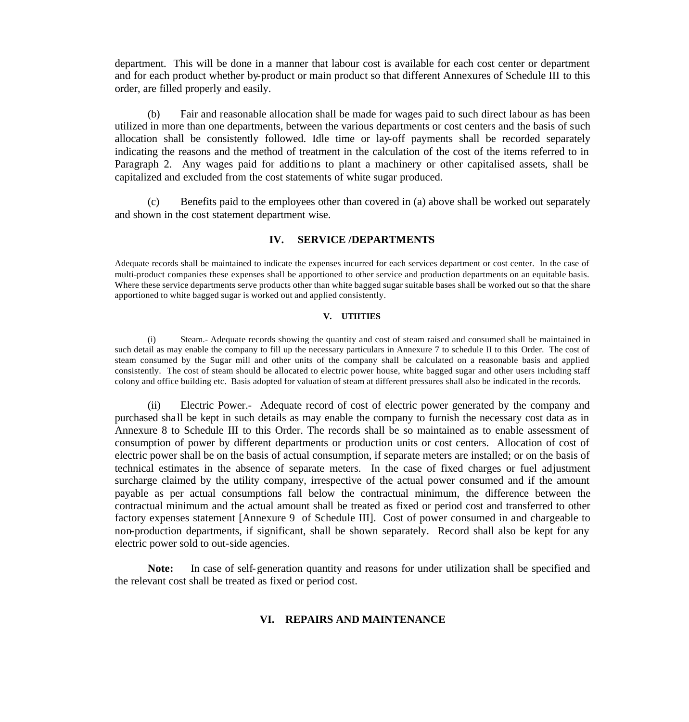department. This will be done in a manner that labour cost is available for each cost center or department and for each product whether by-product or main product so that different Annexures of Schedule III to this order, are filled properly and easily.

(b) Fair and reasonable allocation shall be made for wages paid to such direct labour as has been utilized in more than one departments, between the various departments or cost centers and the basis of such allocation shall be consistently followed. Idle time or lay-off payments shall be recorded separately indicating the reasons and the method of treatment in the calculation of the cost of the items referred to in Paragraph 2. Any wages paid for additions to plant a machinery or other capitalised assets, shall be capitalized and excluded from the cost statements of white sugar produced.

(c) Benefits paid to the employees other than covered in (a) above shall be worked out separately and shown in the cost statement department wise.

#### **IV. SERVICE /DEPARTMENTS**

Adequate records shall be maintained to indicate the expenses incurred for each services department or cost center. In the case of multi-product companies these expenses shall be apportioned to other service and production departments on an equitable basis. Where these service departments serve products other than white bagged sugar suitable bases shall be worked out so that the share apportioned to white bagged sugar is worked out and applied consistently.

#### **V. UTIITIES**

(i) Steam.- Adequate records showing the quantity and cost of steam raised and consumed shall be maintained in such detail as may enable the company to fill up the necessary particulars in Annexure 7 to schedule II to this Order. The cost of steam consumed by the Sugar mill and other units of the company shall be calculated on a reasonable basis and applied consistently. The cost of steam should be allocated to electric power house, white bagged sugar and other users including staff colony and office building etc. Basis adopted for valuation of steam at different pressures shall also be indicated in the records.

(ii) Electric Power.- Adequate record of cost of electric power generated by the company and purchased sha ll be kept in such details as may enable the company to furnish the necessary cost data as in Annexure 8 to Schedule III to this Order. The records shall be so maintained as to enable assessment of consumption of power by different departments or production units or cost centers. Allocation of cost of electric power shall be on the basis of actual consumption, if separate meters are installed; or on the basis of technical estimates in the absence of separate meters. In the case of fixed charges or fuel adjustment surcharge claimed by the utility company, irrespective of the actual power consumed and if the amount payable as per actual consumptions fall below the contractual minimum, the difference between the contractual minimum and the actual amount shall be treated as fixed or period cost and transferred to other factory expenses statement [Annexure 9 of Schedule III]. Cost of power consumed in and chargeable to non-production departments, if significant, shall be shown separately. Record shall also be kept for any electric power sold to out-side agencies.

**Note:** In case of self-generation quantity and reasons for under utilization shall be specified and the relevant cost shall be treated as fixed or period cost.

#### **VI. REPAIRS AND MAINTENANCE**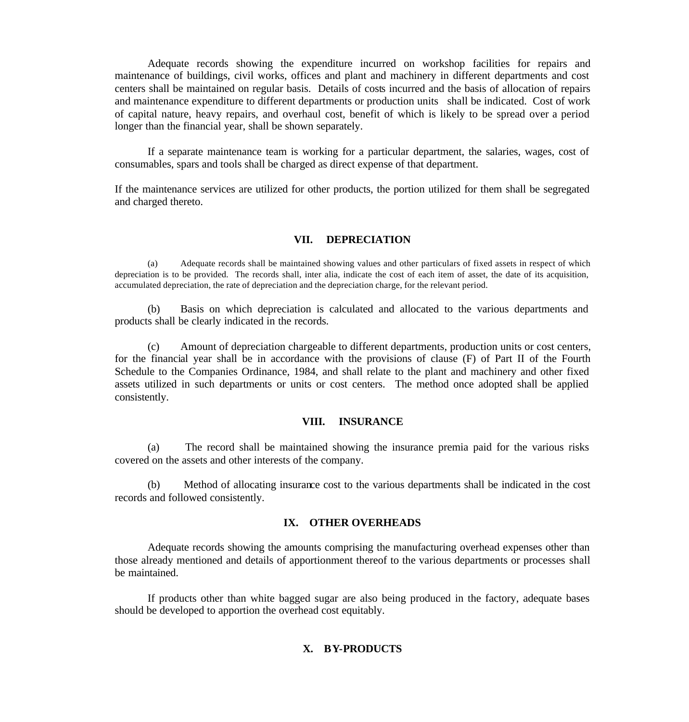Adequate records showing the expenditure incurred on workshop facilities for repairs and maintenance of buildings, civil works, offices and plant and machinery in different departments and cost centers shall be maintained on regular basis. Details of costs incurred and the basis of allocation of repairs and maintenance expenditure to different departments or production units shall be indicated. Cost of work of capital nature, heavy repairs, and overhaul cost, benefit of which is likely to be spread over a period longer than the financial year, shall be shown separately.

If a separate maintenance team is working for a particular department, the salaries, wages, cost of consumables, spars and tools shall be charged as direct expense of that department.

If the maintenance services are utilized for other products, the portion utilized for them shall be segregated and charged thereto.

#### **VII. DEPRECIATION**

(a) Adequate records shall be maintained showing values and other particulars of fixed assets in respect of which depreciation is to be provided. The records shall, inter alia, indicate the cost of each item of asset, the date of its acquisition, accumulated depreciation, the rate of depreciation and the depreciation charge, for the relevant period.

(b) Basis on which depreciation is calculated and allocated to the various departments and products shall be clearly indicated in the records.

(c) Amount of depreciation chargeable to different departments, production units or cost centers, for the financial year shall be in accordance with the provisions of clause (F) of Part II of the Fourth Schedule to the Companies Ordinance, 1984, and shall relate to the plant and machinery and other fixed assets utilized in such departments or units or cost centers. The method once adopted shall be applied consistently.

#### **VIII. INSURANCE**

(a) The record shall be maintained showing the insurance premia paid for the various risks covered on the assets and other interests of the company.

(b) Method of allocating insurance cost to the various departments shall be indicated in the cost records and followed consistently.

### **IX. OTHER OVERHEADS**

Adequate records showing the amounts comprising the manufacturing overhead expenses other than those already mentioned and details of apportionment thereof to the various departments or processes shall be maintained.

If products other than white bagged sugar are also being produced in the factory, adequate bases should be developed to apportion the overhead cost equitably.

### **X. BY-PRODUCTS**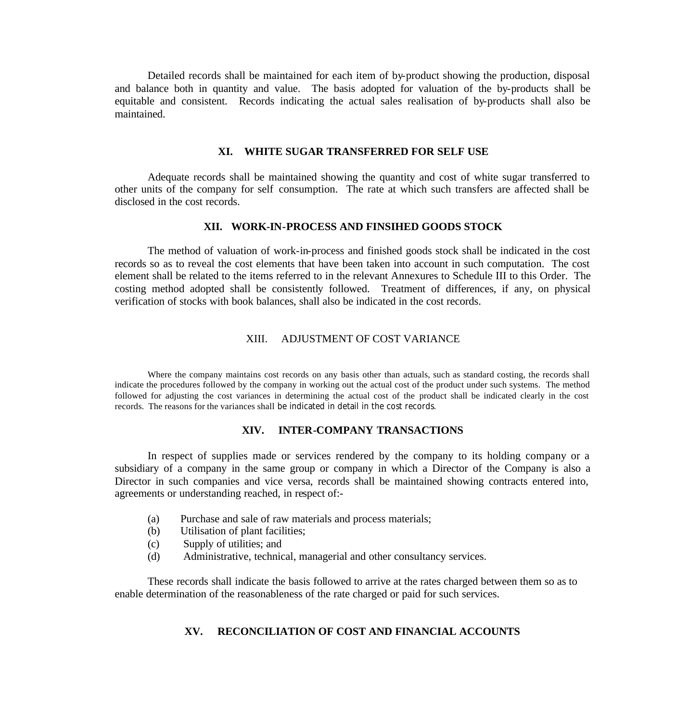Detailed records shall be maintained for each item of by-product showing the production, disposal and balance both in quantity and value. The basis adopted for valuation of the by-products shall be equitable and consistent. Records indicating the actual sales realisation of by-products shall also be maintained.

#### **XI. WHITE SUGAR TRANSFERRED FOR SELF USE**

Adequate records shall be maintained showing the quantity and cost of white sugar transferred to other units of the company for self consumption. The rate at which such transfers are affected shall be disclosed in the cost records.

#### **XII. WORK-IN-PROCESS AND FINSIHED GOODS STOCK**

The method of valuation of work-in-process and finished goods stock shall be indicated in the cost records so as to reveal the cost elements that have been taken into account in such computation. The cost element shall be related to the items referred to in the relevant Annexures to Schedule III to this Order. The costing method adopted shall be consistently followed. Treatment of differences, if any, on physical verification of stocks with book balances, shall also be indicated in the cost records.

### XIII. ADJUSTMENT OF COST VARIANCE

Where the company maintains cost records on any basis other than actuals, such as standard costing, the records shall indicate the procedures followed by the company in working out the actual cost of the product under such systems. The method followed for adjusting the cost variances in determining the actual cost of the product shall be indicated clearly in the cost records. The reasons for the variances shall be indicated in detail in the cost records.

#### **XIV. INTER-COMPANY TRANSACTIONS**

In respect of supplies made or services rendered by the company to its holding company or a subsidiary of a company in the same group or company in which a Director of the Company is also a Director in such companies and vice versa, records shall be maintained showing contracts entered into, agreements or understanding reached, in respect of:-

- (a) Purchase and sale of raw materials and process materials;
- (b) Utilisation of plant facilities;
- (c) Supply of utilities; and
- (d) Administrative, technical, managerial and other consultancy services.

These records shall indicate the basis followed to arrive at the rates charged between them so as to enable determination of the reasonableness of the rate charged or paid for such services.

### **XV. RECONCILIATION OF COST AND FINANCIAL ACCOUNTS**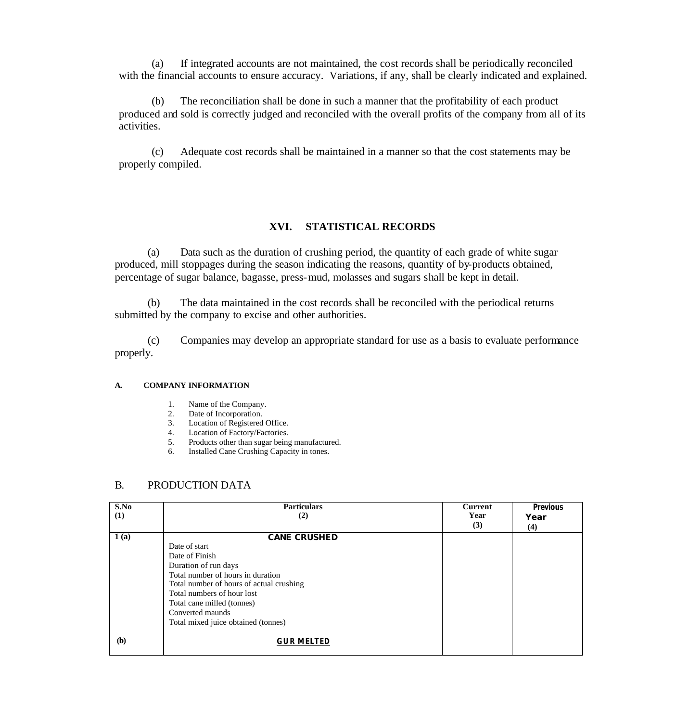(a) If integrated accounts are not maintained, the cost records shall be periodically reconciled with the financial accounts to ensure accuracy. Variations, if any, shall be clearly indicated and explained.

(b) The reconciliation shall be done in such a manner that the profitability of each product produced and sold is correctly judged and reconciled with the overall profits of the company from all of its activities.

(c) Adequate cost records shall be maintained in a manner so that the cost statements may be properly compiled.

#### **XVI. STATISTICAL RECORDS**

(a) Data such as the duration of crushing period, the quantity of each grade of white sugar produced, mill stoppages during the season indicating the reasons, quantity of by-products obtained, percentage of sugar balance, bagasse, press-mud, molasses and sugars shall be kept in detail.

(b) The data maintained in the cost records shall be reconciled with the periodical returns submitted by the company to excise and other authorities.

(c) Companies may develop an appropriate standard for use as a basis to evaluate performance properly.

#### **A. COMPANY INFORMATION**

- 1. Name of the Company.
- 2. Date of Incorporation.
- 3. Location of Registered Office.
- 4. Location of Factory/Factories.
- 5. Products other than sugar being manufactured.
- 6. Installed Cane Crushing Capacity in tones.

#### B. PRODUCTION DATA

| S.No | <b>Particulars</b>                       | <b>Current</b> | <b>Previous</b> |
|------|------------------------------------------|----------------|-----------------|
| (1)  | (2)                                      | Year           | Year            |
|      |                                          | (3)            | (4)             |
| 1(a) | <b>CANE CRUSHED</b>                      |                |                 |
|      | Date of start                            |                |                 |
|      | Date of Finish                           |                |                 |
|      | Duration of run days                     |                |                 |
|      | Total number of hours in duration        |                |                 |
|      | Total number of hours of actual crushing |                |                 |
|      | Total numbers of hour lost               |                |                 |
|      | Total cane milled (tonnes)               |                |                 |
|      | Converted maunds                         |                |                 |
|      | Total mixed juice obtained (tonnes)      |                |                 |
| (b)  | <b>GUR MELTED</b>                        |                |                 |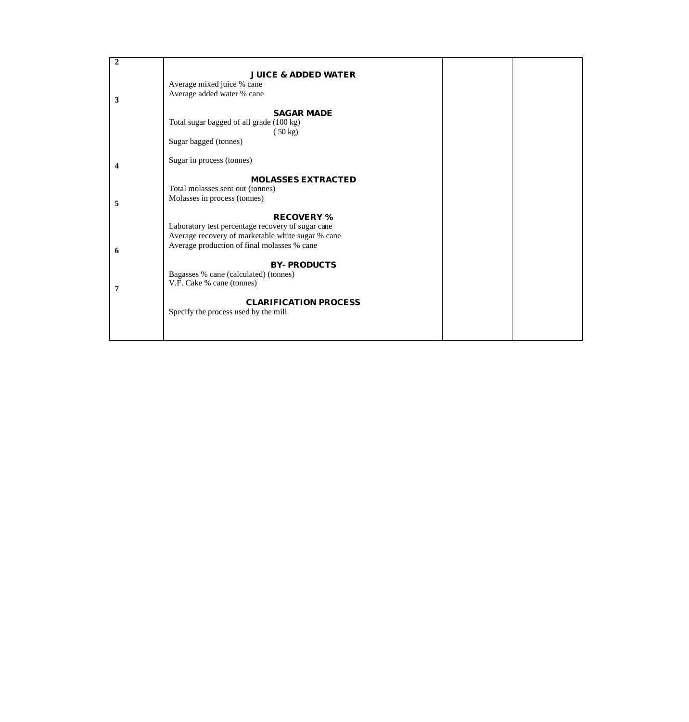| $\boldsymbol{2}$ |                                                   |  |
|------------------|---------------------------------------------------|--|
|                  | <b>JUICE &amp; ADDED WATER</b>                    |  |
|                  | Average mixed juice % cane                        |  |
|                  | Average added water % cane                        |  |
| 3                |                                                   |  |
|                  | <b>SAGAR MADE</b>                                 |  |
|                  | Total sugar bagged of all grade (100 kg)          |  |
|                  | $(50 \text{ kg})$                                 |  |
|                  | Sugar bagged (tonnes)                             |  |
|                  |                                                   |  |
|                  | Sugar in process (tonnes)                         |  |
|                  |                                                   |  |
|                  | <b>MOLASSES EXTRACTED</b>                         |  |
|                  | Total molasses sent out (tonnes)                  |  |
| 5                | Molasses in process (tonnes)                      |  |
|                  |                                                   |  |
|                  | <b>RECOVERY %</b>                                 |  |
|                  | Laboratory test percentage recovery of sugar cane |  |
|                  | Average recovery of marketable white sugar % cane |  |
| 6                | Average production of final molasses % cane       |  |
|                  |                                                   |  |
|                  | <b>BY-PRODUCTS</b>                                |  |
|                  | Bagasses % cane (calculated) (tonnes)             |  |
|                  | V.F. Cake % cane (tonnes)                         |  |
|                  |                                                   |  |
|                  | <b>CLARIFICATION PROCESS</b>                      |  |
|                  | Specify the process used by the mill              |  |
|                  |                                                   |  |
|                  |                                                   |  |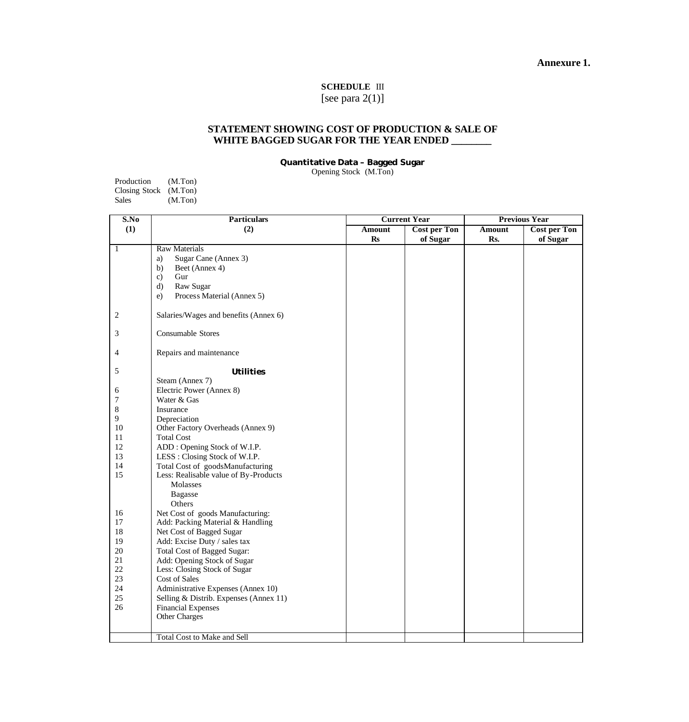### **Annexure 1.**

### **SCHEDULE** III

[see para 2(1)]

#### **STATEMENT SHOWING COST OF PRODUCTION & SALE OF WHITE BAGGED SUGAR FOR THE YEAR ENDED \_\_\_\_\_\_\_\_**

**Quantitative Data – Bagged Sugar**

Opening Stock (M.Ton)

| Production            | (M.Ton) |
|-----------------------|---------|
| Closing Stock (M.Ton) |         |
| Sales                 | (M.Ton) |

| S.No           | <b>Particulars</b>                     | <b>Current Year</b> |                     | <b>Previous Year</b> |                     |  |
|----------------|----------------------------------------|---------------------|---------------------|----------------------|---------------------|--|
| (1)            | (2)                                    | Amount              | <b>Cost per Ton</b> | Amount               | <b>Cost per Ton</b> |  |
|                |                                        | $\mathbf{Rs}$       | of Sugar            | Rs.                  | of Sugar            |  |
| $\mathbf{1}$   | <b>Raw Materials</b>                   |                     |                     |                      |                     |  |
|                | Sugar Cane (Annex 3)<br>a)             |                     |                     |                      |                     |  |
|                | Beet (Annex 4)<br>b)                   |                     |                     |                      |                     |  |
|                | Gur<br>$\mathbf{c}$                    |                     |                     |                      |                     |  |
|                | $\mathbf{d}$<br>Raw Sugar              |                     |                     |                      |                     |  |
|                | Process Material (Annex 5)<br>e)       |                     |                     |                      |                     |  |
| $\overline{c}$ | Salaries/Wages and benefits (Annex 6)  |                     |                     |                      |                     |  |
| 3              | Consumable Stores                      |                     |                     |                      |                     |  |
| 4              | Repairs and maintenance                |                     |                     |                      |                     |  |
| 5              | <b>Utilities</b>                       |                     |                     |                      |                     |  |
|                | Steam (Annex 7)                        |                     |                     |                      |                     |  |
| 6              | Electric Power (Annex 8)               |                     |                     |                      |                     |  |
| 7              | Water & Gas                            |                     |                     |                      |                     |  |
| 8              | Insurance                              |                     |                     |                      |                     |  |
| 9              | Depreciation                           |                     |                     |                      |                     |  |
| 10             | Other Factory Overheads (Annex 9)      |                     |                     |                      |                     |  |
| 11             | <b>Total Cost</b>                      |                     |                     |                      |                     |  |
| 12             | ADD: Opening Stock of W.I.P.           |                     |                     |                      |                     |  |
| 13             | LESS: Closing Stock of W.I.P.          |                     |                     |                      |                     |  |
| 14             | Total Cost of goodsManufacturing       |                     |                     |                      |                     |  |
| 15             | Less: Realisable value of By-Products  |                     |                     |                      |                     |  |
|                | Molasses                               |                     |                     |                      |                     |  |
|                | <b>Bagasse</b>                         |                     |                     |                      |                     |  |
|                | Others                                 |                     |                     |                      |                     |  |
| 16             | Net Cost of goods Manufacturing:       |                     |                     |                      |                     |  |
| 17             | Add: Packing Material & Handling       |                     |                     |                      |                     |  |
| $18\,$         | Net Cost of Bagged Sugar               |                     |                     |                      |                     |  |
| 19             | Add: Excise Duty / sales tax           |                     |                     |                      |                     |  |
| 20             | Total Cost of Bagged Sugar:            |                     |                     |                      |                     |  |
| 21             | Add: Opening Stock of Sugar            |                     |                     |                      |                     |  |
| 22             | Less: Closing Stock of Sugar           |                     |                     |                      |                     |  |
| 23             | Cost of Sales                          |                     |                     |                      |                     |  |
| 24             | Administrative Expenses (Annex 10)     |                     |                     |                      |                     |  |
| 25             | Selling & Distrib. Expenses (Annex 11) |                     |                     |                      |                     |  |
| 26             | <b>Financial Expenses</b>              |                     |                     |                      |                     |  |
|                | Other Charges                          |                     |                     |                      |                     |  |
|                | Total Cost to Make and Sell            |                     |                     |                      |                     |  |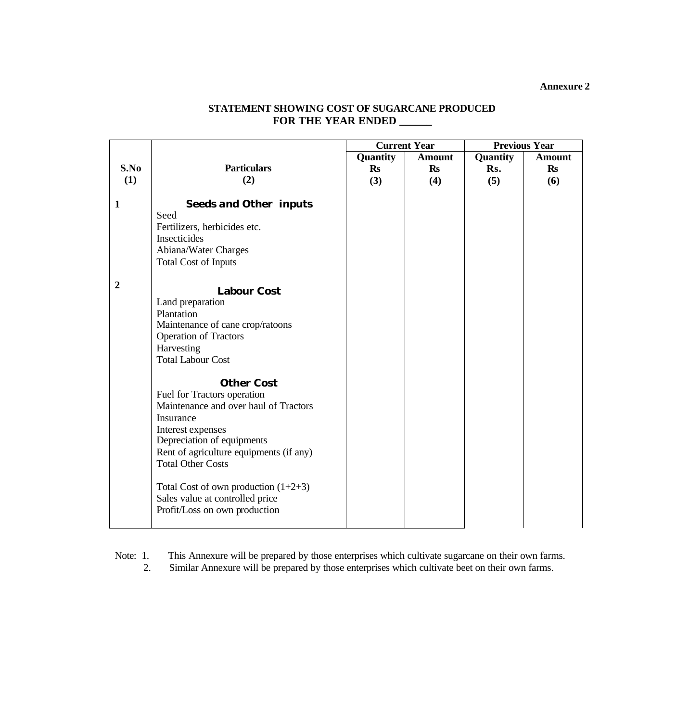|                  |                                              | <b>Current Year</b> |               | <b>Previous Year</b> |               |
|------------------|----------------------------------------------|---------------------|---------------|----------------------|---------------|
|                  |                                              | Quantity            | <b>Amount</b> | Quantity             | <b>Amount</b> |
| S.No             | <b>Particulars</b>                           | <b>Rs</b>           | <b>Rs</b>     | Rs.                  | <b>Rs</b>     |
| (1)              | (2)                                          | (3)                 | (4)           | (5)                  | (6)           |
|                  |                                              |                     |               |                      |               |
| $\mathbf{1}$     | <b>Seeds and Other inputs</b>                |                     |               |                      |               |
|                  | Seed                                         |                     |               |                      |               |
|                  | Fertilizers, herbicides etc.<br>Insecticides |                     |               |                      |               |
|                  |                                              |                     |               |                      |               |
|                  | Abiana/Water Charges                         |                     |               |                      |               |
|                  | <b>Total Cost of Inputs</b>                  |                     |               |                      |               |
| $\boldsymbol{2}$ |                                              |                     |               |                      |               |
|                  | <b>Labour Cost</b>                           |                     |               |                      |               |
|                  | Land preparation                             |                     |               |                      |               |
|                  | Plantation                                   |                     |               |                      |               |
|                  | Maintenance of cane crop/ratoons             |                     |               |                      |               |
|                  | <b>Operation of Tractors</b>                 |                     |               |                      |               |
|                  | Harvesting<br><b>Total Labour Cost</b>       |                     |               |                      |               |
|                  |                                              |                     |               |                      |               |
|                  | <b>Other Cost</b>                            |                     |               |                      |               |
|                  | Fuel for Tractors operation                  |                     |               |                      |               |
|                  | Maintenance and over haul of Tractors        |                     |               |                      |               |
|                  | Insurance                                    |                     |               |                      |               |
|                  | Interest expenses                            |                     |               |                      |               |
|                  | Depreciation of equipments                   |                     |               |                      |               |
|                  | Rent of agriculture equipments (if any)      |                     |               |                      |               |
|                  | <b>Total Other Costs</b>                     |                     |               |                      |               |
|                  |                                              |                     |               |                      |               |
|                  | Total Cost of own production $(1+2+3)$       |                     |               |                      |               |
|                  | Sales value at controlled price              |                     |               |                      |               |
|                  | Profit/Loss on own production                |                     |               |                      |               |
|                  |                                              |                     |               |                      |               |

## **STATEMENT SHOWING COST OF SUGARCANE PRODUCED FOR THE YEAR ENDED \_\_\_\_\_\_**

Note: 1. This Annexure will be prepared by those enterprises which cultivate sugarcane on their own farms.

2. Similar Annexure will be prepared by those enterprises which cultivate beet on their own farms.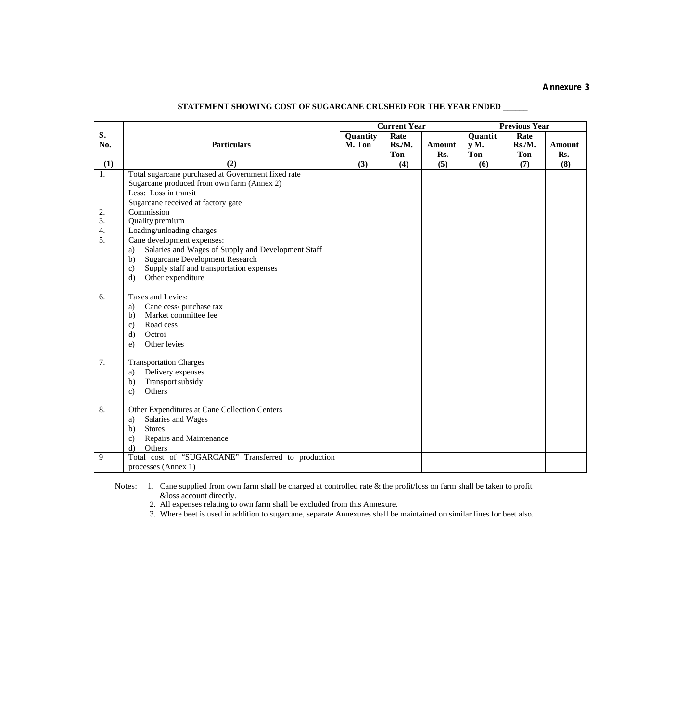|                                 |                                                                               | <b>Current Year</b> |        | <b>Previous Year</b> |             |        |               |
|---------------------------------|-------------------------------------------------------------------------------|---------------------|--------|----------------------|-------------|--------|---------------|
| S.                              |                                                                               | Quantity            | Rate   |                      | Quantit     | Rate   |               |
| No.                             | <b>Particulars</b>                                                            | M. Ton              | Rs./M. | Amount               | $V_{\rm M}$ | Rs./M. | <b>Amount</b> |
|                                 |                                                                               |                     | Ton    | Rs.                  | Ton         | Ton    | Rs.           |
| (1)                             | (2)                                                                           | (3)                 | (4)    | (5)                  | (6)         | (7)    | (8)           |
| 1.                              | Total sugarcane purchased at Government fixed rate                            |                     |        |                      |             |        |               |
|                                 | Sugarcane produced from own farm (Annex 2)                                    |                     |        |                      |             |        |               |
|                                 | Less: Loss in transit                                                         |                     |        |                      |             |        |               |
|                                 | Sugarcane received at factory gate                                            |                     |        |                      |             |        |               |
| 2.                              | Commission                                                                    |                     |        |                      |             |        |               |
| 3.                              | Quality premium                                                               |                     |        |                      |             |        |               |
| $\mathbf 4$<br>$\overline{5}$ . | Loading/unloading charges                                                     |                     |        |                      |             |        |               |
|                                 | Cane development expenses:                                                    |                     |        |                      |             |        |               |
|                                 | Salaries and Wages of Supply and Development Staff<br>a)                      |                     |        |                      |             |        |               |
|                                 | <b>Sugarcane Development Research</b><br>b)<br>$\mathbf{c}$                   |                     |        |                      |             |        |               |
|                                 | Supply staff and transportation expenses<br>Other expenditure<br>$\mathbf{d}$ |                     |        |                      |             |        |               |
|                                 |                                                                               |                     |        |                      |             |        |               |
| 6.                              | Taxes and Levies:                                                             |                     |        |                      |             |        |               |
|                                 | Cane cess/purchase tax<br>a)                                                  |                     |        |                      |             |        |               |
|                                 | Market committee fee<br>b)                                                    |                     |        |                      |             |        |               |
|                                 | Road cess<br>$\mathbf{c}$                                                     |                     |        |                      |             |        |               |
|                                 | $\mathbf{d}$<br>Octroi                                                        |                     |        |                      |             |        |               |
|                                 | Other levies<br>$\epsilon$ )                                                  |                     |        |                      |             |        |               |
|                                 |                                                                               |                     |        |                      |             |        |               |
| 7.                              | <b>Transportation Charges</b>                                                 |                     |        |                      |             |        |               |
|                                 | Delivery expenses<br>a)                                                       |                     |        |                      |             |        |               |
|                                 | Transport subsidy<br>b)                                                       |                     |        |                      |             |        |               |
|                                 | Others<br>$\mathbf{c}$                                                        |                     |        |                      |             |        |               |
|                                 |                                                                               |                     |        |                      |             |        |               |
| 8.                              | Other Expenditures at Cane Collection Centers                                 |                     |        |                      |             |        |               |
|                                 | Salaries and Wages<br>a)                                                      |                     |        |                      |             |        |               |
|                                 | <b>Stores</b><br>b)                                                           |                     |        |                      |             |        |               |
|                                 | Repairs and Maintenance<br>$\mathbf{c}$                                       |                     |        |                      |             |        |               |
| 9                               | $\mathbf{d}$<br>Others<br>Total cost of "SUGARCANE" Transferred to production |                     |        |                      |             |        |               |
|                                 | processes (Annex 1)                                                           |                     |        |                      |             |        |               |
|                                 |                                                                               |                     |        |                      |             |        |               |

## **STATEMENT SHOWING COST OF SUGARCANE CRUSHED FOR THE YEAR ENDED \_\_\_\_\_\_**

Notes: 1. Cane supplied from own farm shall be charged at controlled rate & the profit/loss on farm shall be taken to profit &loss account directly.

2. All expenses relating to own farm shall be excluded from this Annexure.

3. Where beet is used in addition to sugarcane, separate Annexures shall be maintained on similar lines for beet also.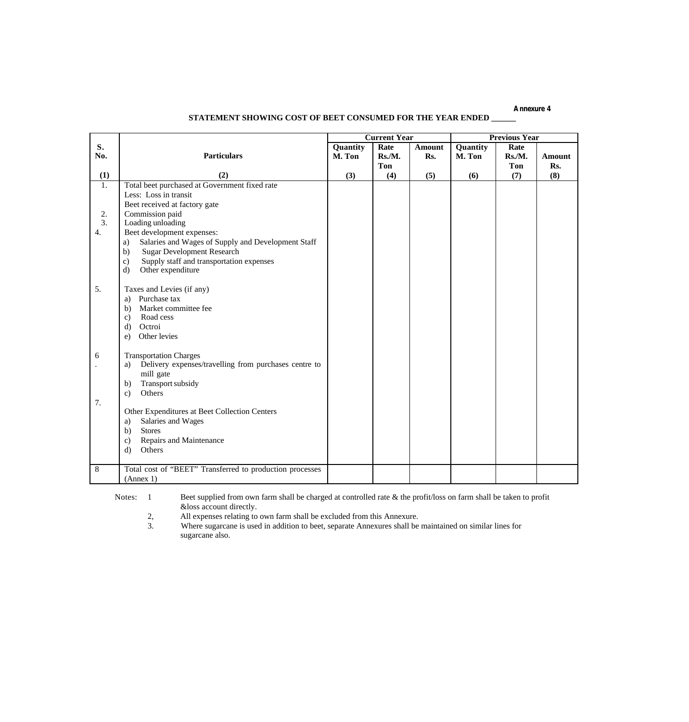|           |                                                                          |                    | <b>Current Year</b>  |               |                    | <b>Previous Year</b>  |                      |
|-----------|--------------------------------------------------------------------------|--------------------|----------------------|---------------|--------------------|-----------------------|----------------------|
| S.<br>No. | <b>Particulars</b>                                                       | Quantity<br>M. Ton | Rate<br>Rs.M.<br>Ton | Amount<br>Rs. | Quantity<br>M. Ton | Rate<br>Rs./M.<br>Ton | <b>Amount</b><br>Rs. |
| (1)       | (2)                                                                      | (3)                | (4)                  | (5)           | (6)                | (7)                   | (8)                  |
| 1.        | Total beet purchased at Government fixed rate                            |                    |                      |               |                    |                       |                      |
|           | Less: Loss in transit                                                    |                    |                      |               |                    |                       |                      |
|           | Beet received at factory gate                                            |                    |                      |               |                    |                       |                      |
| 2.        | Commission paid                                                          |                    |                      |               |                    |                       |                      |
| 3.        | Loading unloading                                                        |                    |                      |               |                    |                       |                      |
| 4.        | Beet development expenses:                                               |                    |                      |               |                    |                       |                      |
|           | Salaries and Wages of Supply and Development Staff<br>a)                 |                    |                      |               |                    |                       |                      |
|           | <b>Sugar Development Research</b><br>b)                                  |                    |                      |               |                    |                       |                      |
|           | Supply staff and transportation expenses<br>$\mathbf{c}$                 |                    |                      |               |                    |                       |                      |
|           | Other expenditure<br>d)                                                  |                    |                      |               |                    |                       |                      |
|           |                                                                          |                    |                      |               |                    |                       |                      |
| 5.        | Taxes and Levies (if any)                                                |                    |                      |               |                    |                       |                      |
|           | Purchase tax<br>a)                                                       |                    |                      |               |                    |                       |                      |
|           | Market committee fee<br>b)                                               |                    |                      |               |                    |                       |                      |
|           | Road cess<br>$\mathbf{c}$                                                |                    |                      |               |                    |                       |                      |
|           | Octroi<br>d)                                                             |                    |                      |               |                    |                       |                      |
|           | Other levies<br>e)                                                       |                    |                      |               |                    |                       |                      |
| 6         | <b>Transportation Charges</b>                                            |                    |                      |               |                    |                       |                      |
|           | Delivery expenses/travelling from purchases centre to<br>a)<br>mill gate |                    |                      |               |                    |                       |                      |
|           | Transport subsidy<br>b)                                                  |                    |                      |               |                    |                       |                      |
|           | Others<br>$\mathbf{c}$                                                   |                    |                      |               |                    |                       |                      |
| 7.        |                                                                          |                    |                      |               |                    |                       |                      |
|           | Other Expenditures at Beet Collection Centers                            |                    |                      |               |                    |                       |                      |
|           | Salaries and Wages<br>a)                                                 |                    |                      |               |                    |                       |                      |
|           | <b>Stores</b><br>b)                                                      |                    |                      |               |                    |                       |                      |
|           | Repairs and Maintenance<br>$\mathbf{c}$                                  |                    |                      |               |                    |                       |                      |
|           | Others<br>$\mathbf{d}$                                                   |                    |                      |               |                    |                       |                      |
|           |                                                                          |                    |                      |               |                    |                       |                      |
| 8         | Total cost of "BEET" Transferred to production processes                 |                    |                      |               |                    |                       |                      |

Notes: 1 Beet supplied from own farm shall be charged at controlled rate & the profit/loss on farm shall be taken to profit &loss account directly.<br>2, All expenses relating to<br>3. Where sugarcane is used

All expenses relating to own farm shall be excluded from this Annexure.

(Annex 1)

 3. Where sugarcane is used in addition to beet, separate Annexures shall be maintained on similar lines for sugarcane also.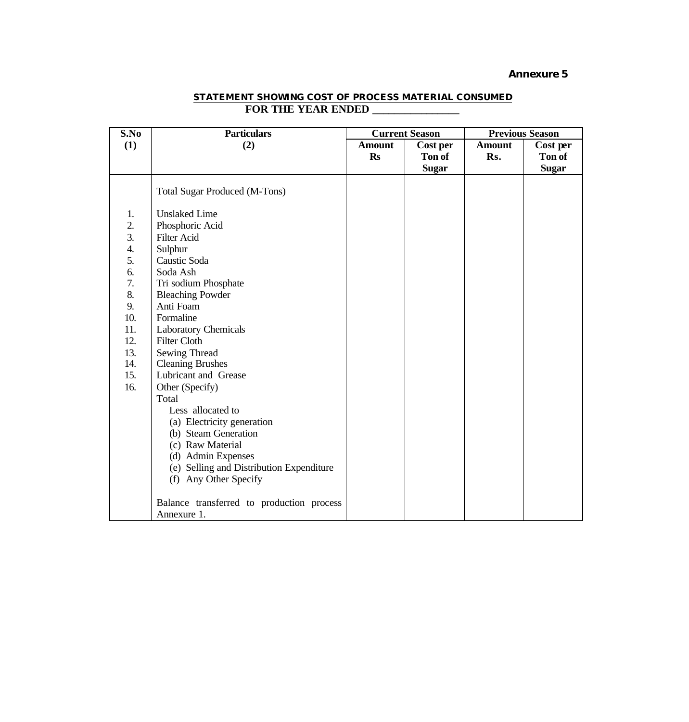| S.No             | <b>Particulars</b>                        | <b>Current Season</b> |              | <b>Previous Season</b> |               |
|------------------|-------------------------------------------|-----------------------|--------------|------------------------|---------------|
| (1)              | (2)                                       | <b>Amount</b>         | Cost per     | <b>Amount</b>          | Cost per      |
|                  |                                           | <b>Rs</b>             | Ton of       | Rs.                    | <b>Ton of</b> |
|                  |                                           |                       | <b>Sugar</b> |                        | <b>Sugar</b>  |
|                  | <b>Total Sugar Produced (M-Tons)</b>      |                       |              |                        |               |
| 1.               | <b>Unslaked Lime</b>                      |                       |              |                        |               |
| 2.               | Phosphoric Acid                           |                       |              |                        |               |
| $\overline{3}$ . | <b>Filter Acid</b>                        |                       |              |                        |               |
| 4.               | Sulphur                                   |                       |              |                        |               |
| 5.               | Caustic Soda                              |                       |              |                        |               |
| 6.               | Soda Ash                                  |                       |              |                        |               |
| 7.               | Tri sodium Phosphate                      |                       |              |                        |               |
| 8.               | <b>Bleaching Powder</b>                   |                       |              |                        |               |
| 9.               | Anti Foam                                 |                       |              |                        |               |
| 10.              | Formaline                                 |                       |              |                        |               |
| 11.              | <b>Laboratory Chemicals</b>               |                       |              |                        |               |
| 12.              | <b>Filter Cloth</b>                       |                       |              |                        |               |
| 13.              | <b>Sewing Thread</b>                      |                       |              |                        |               |
| 14.              | <b>Cleaning Brushes</b>                   |                       |              |                        |               |
| 15.              | Lubricant and Grease                      |                       |              |                        |               |
| 16.              | Other (Specify)                           |                       |              |                        |               |
|                  | Total                                     |                       |              |                        |               |
|                  | Less allocated to                         |                       |              |                        |               |
|                  | (a) Electricity generation                |                       |              |                        |               |
|                  | (b) Steam Generation                      |                       |              |                        |               |
|                  | (c) Raw Material                          |                       |              |                        |               |
|                  | (d) Admin Expenses                        |                       |              |                        |               |
|                  | (e) Selling and Distribution Expenditure  |                       |              |                        |               |
|                  | (f) Any Other Specify                     |                       |              |                        |               |
|                  | Balance transferred to production process |                       |              |                        |               |
|                  | Annexure 1.                               |                       |              |                        |               |

## **STATEMENT SHOWING COST OF PROCESS MATERIAL CONSUMED** FOR THE YEAR ENDED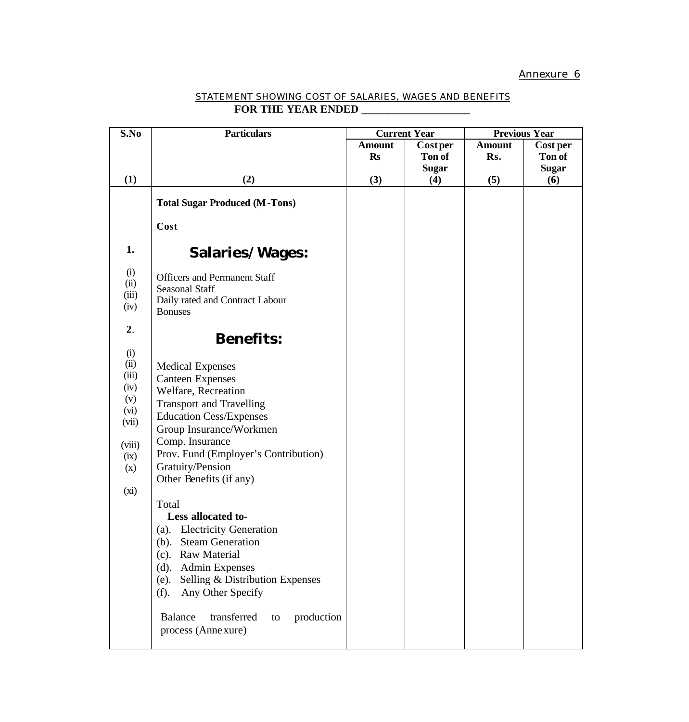| STATEMENT SHOWING COST OF SALARIES. WAGES AND BENEFITS |  |
|--------------------------------------------------------|--|
| <b>FOR THE YEAR ENDED</b>                              |  |

| S.No                                                                                  | <b>Particulars</b>                                                                                                                                                                                                                                                                                                                                                                                                                                                                                                                     | <b>Current Year</b> |                 | <b>Previous Year</b> |              |
|---------------------------------------------------------------------------------------|----------------------------------------------------------------------------------------------------------------------------------------------------------------------------------------------------------------------------------------------------------------------------------------------------------------------------------------------------------------------------------------------------------------------------------------------------------------------------------------------------------------------------------------|---------------------|-----------------|----------------------|--------------|
|                                                                                       |                                                                                                                                                                                                                                                                                                                                                                                                                                                                                                                                        | <b>Amount</b>       | <b>Cost per</b> | <b>Amount</b>        | Cost per     |
|                                                                                       |                                                                                                                                                                                                                                                                                                                                                                                                                                                                                                                                        | <b>Rs</b>           | Ton of          | Rs.                  | Ton of       |
|                                                                                       |                                                                                                                                                                                                                                                                                                                                                                                                                                                                                                                                        |                     | <b>Sugar</b>    |                      | <b>Sugar</b> |
| (1)                                                                                   | (2)                                                                                                                                                                                                                                                                                                                                                                                                                                                                                                                                    | (3)                 | (4)             | (5)                  | (6)          |
|                                                                                       | <b>Total Sugar Produced (M-Tons)</b>                                                                                                                                                                                                                                                                                                                                                                                                                                                                                                   |                     |                 |                      |              |
|                                                                                       | Cost                                                                                                                                                                                                                                                                                                                                                                                                                                                                                                                                   |                     |                 |                      |              |
| 1.                                                                                    | <b>Salaries/Wages:</b>                                                                                                                                                                                                                                                                                                                                                                                                                                                                                                                 |                     |                 |                      |              |
| (i)<br>(ii)<br>(iii)<br>(iv)                                                          | <b>Officers and Permanent Staff</b><br><b>Seasonal Staff</b><br>Daily rated and Contract Labour<br><b>Bonuses</b>                                                                                                                                                                                                                                                                                                                                                                                                                      |                     |                 |                      |              |
| 2.                                                                                    | <b>Benefits:</b>                                                                                                                                                                                                                                                                                                                                                                                                                                                                                                                       |                     |                 |                      |              |
| (i)<br>(ii)<br>(iii)<br>(iv)<br>(v)<br>(vi)<br>(vii)<br>(viii)<br>(ix)<br>(x)<br>(xi) | <b>Medical Expenses</b><br><b>Canteen Expenses</b><br>Welfare, Recreation<br><b>Transport and Travelling</b><br><b>Education Cess/Expenses</b><br>Group Insurance/Workmen<br>Comp. Insurance<br>Prov. Fund (Employer's Contribution)<br>Gratuity/Pension<br>Other Benefits (if any)<br>Total<br>Less allocated to-<br><b>Electricity Generation</b><br>(a).<br><b>Steam Generation</b><br>(b).<br><b>Raw Material</b><br>(c).<br><b>Admin Expenses</b><br>(d).<br>Selling & Distribution Expenses<br>(e).<br>Any Other Specify<br>(f). |                     |                 |                      |              |
|                                                                                       | transferred<br><b>Balance</b><br>production<br>to<br>process (Anne xure)                                                                                                                                                                                                                                                                                                                                                                                                                                                               |                     |                 |                      |              |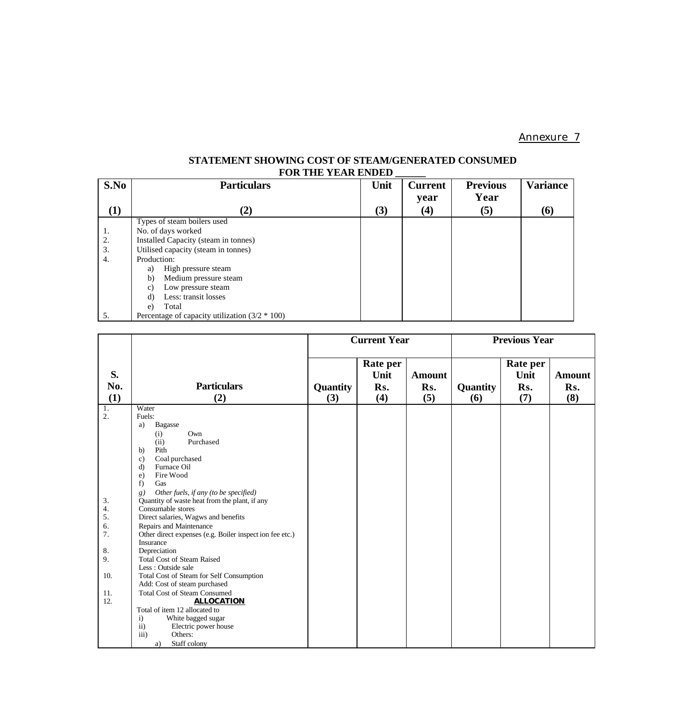## **STATEMENT SHOWING COST OF STEAM/GENERATED CONSUMED** FOR THE YEAR ENDED

| S.No     | <b>Particulars</b>                               | Unit | <b>Current</b>    | <b>Previous</b> | <b>Variance</b> |
|----------|--------------------------------------------------|------|-------------------|-----------------|-----------------|
|          |                                                  |      | year              | Year            |                 |
| $\bf(1)$ | (2)                                              | (3)  | $\left( 4\right)$ | (5)             | (6)             |
|          | Types of steam boilers used                      |      |                   |                 |                 |
| 1.       | No. of days worked                               |      |                   |                 |                 |
| 2.       | Installed Capacity (steam in tonnes)             |      |                   |                 |                 |
| 3.       | Utilised capacity (steam in tonnes)              |      |                   |                 |                 |
| 4.       | Production:                                      |      |                   |                 |                 |
|          | High pressure steam<br>a)                        |      |                   |                 |                 |
|          | b)<br>Medium pressure steam                      |      |                   |                 |                 |
|          | Low pressure steam<br>C)                         |      |                   |                 |                 |
|          | Less: transit losses<br>d)                       |      |                   |                 |                 |
|          | Total<br>e)                                      |      |                   |                 |                 |
| 5.       | Percentage of capacity utilization $(3/2 * 100)$ |      |                   |                 |                 |

|                                                                         |                                                                                                                                                                                                                                                                                                                                                                                                                                                                                                                                                                                                                                                                                                                                                                                                                                                          |                 | <b>Current Year</b>            |                             |                 | <b>Previous Year</b>           |                             |
|-------------------------------------------------------------------------|----------------------------------------------------------------------------------------------------------------------------------------------------------------------------------------------------------------------------------------------------------------------------------------------------------------------------------------------------------------------------------------------------------------------------------------------------------------------------------------------------------------------------------------------------------------------------------------------------------------------------------------------------------------------------------------------------------------------------------------------------------------------------------------------------------------------------------------------------------|-----------------|--------------------------------|-----------------------------|-----------------|--------------------------------|-----------------------------|
| S.<br>No.<br>(1)                                                        | <b>Particulars</b><br>(2)                                                                                                                                                                                                                                                                                                                                                                                                                                                                                                                                                                                                                                                                                                                                                                                                                                | Quantity<br>(3) | Rate per<br>Unit<br>Rs.<br>(4) | <b>Amount</b><br>Rs.<br>(5) | Quantity<br>(6) | Rate per<br>Unit<br>Rs.<br>(7) | <b>Amount</b><br>Rs.<br>(8) |
| 1.<br>2.<br>3.<br>4.<br>5.<br>6.<br>7.<br>8.<br>9.<br>10.<br>11.<br>12. | Water<br>Fuels:<br><b>Bagasse</b><br>a)<br>Own<br>(i)<br>Purchased<br>(ii)<br>Pith<br>b)<br>Coal purchased<br>$\mathbf{c})$<br>Furnace Oil<br>d)<br>Fire Wood<br>$\epsilon$ )<br>f)<br>Gas<br>Other fuels, if any (to be specified)<br>8)<br>Quantity of waste heat from the plant, if any<br>Consumable stores<br>Direct salaries, Wagws and benefits<br>Repairs and Maintenance<br>Other direct expenses (e.g. Boiler inspect ion fee etc.)<br>Insurance<br>Depreciation<br><b>Total Cost of Steam Raised</b><br>Less: Outside sale<br>Total Cost of Steam for Self Consumption<br>Add: Cost of steam purchased<br><b>Total Cost of Steam Consumed</b><br><b>ALLOCATION</b><br>Total of item 12 allocated to<br>White bagged sugar<br>$\mathbf{i}$<br>$\overline{11}$ )<br>Electric power house<br>$\overline{iii}$ )<br>Others:<br>Staff colony<br>a) |                 |                                |                             |                 |                                |                             |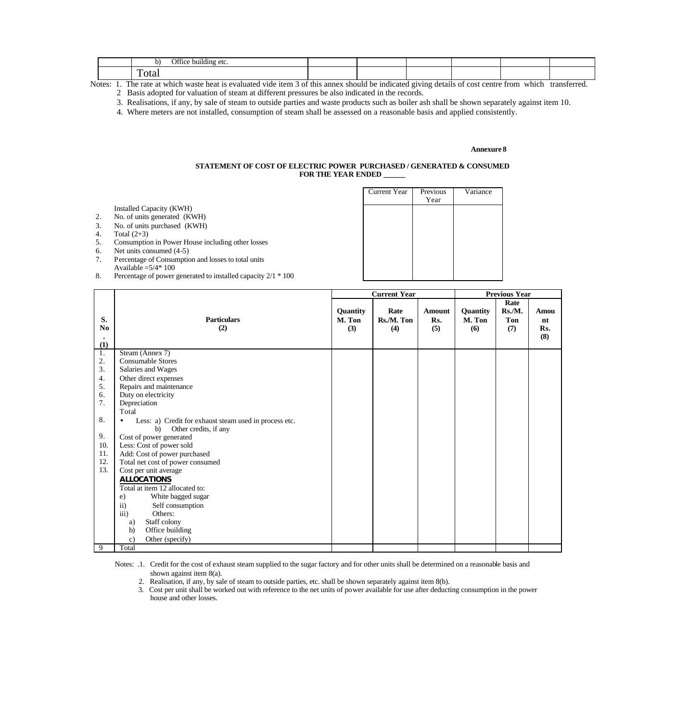| <br>building etc |  |  |  |
|------------------|--|--|--|
| $\ddotsc$<br>.   |  |  |  |

Notes: 1. The rate at which waste heat is evaluated vide item 3 of this annex should be indicated giving details of cost centre from which transferred.

2 Basis adopted for valuation of steam at different pressures be also indicated in the records.

3. Realisations, if any, by sale of steam to outside parties and waste products such as boiler ash shall be shown separately against item 10.

4. Where meters are not installed, consumption of steam shall be assessed on a reasonable basis and applied consistently.

#### **Annexure 8**

#### **STATEMENT OF COST OF ELECTRIC POWER PURCHASED / GENERATED & CONSUMED FOR THE YEAR ENDED \_\_\_\_\_\_**

|    |                                                                               | <b>Current Year</b> | Previous | Variance |
|----|-------------------------------------------------------------------------------|---------------------|----------|----------|
|    | Installed Capacity (KWH)                                                      |                     | Year     |          |
| 2. | No. of units generated (KWH)                                                  |                     |          |          |
| 3. | No. of units purchased (KWH)                                                  |                     |          |          |
| 4. | Total $(2+3)$                                                                 |                     |          |          |
| 5. | Consumption in Power House including other losses                             |                     |          |          |
| 6. | Net units consumed (4-5)                                                      |                     |          |          |
| 7. | Percentage of Consumption and losses to total units<br>Available $=5/4$ * 100 |                     |          |          |
| 8. | Percentage of power generated to installed capacity $2/1 * 100$               |                     |          |          |

|                |                                                        | <b>Current Year</b> |            |               | <b>Previous Year</b> |        |      |
|----------------|--------------------------------------------------------|---------------------|------------|---------------|----------------------|--------|------|
|                |                                                        |                     |            |               |                      | Rate   |      |
|                |                                                        | Quantity            | Rate       | <b>Amount</b> | Quantity             | Rs./M. | Amou |
| S.             | <b>Particulars</b>                                     | M. Ton              | Rs./M. Ton | Rs.           | M. Ton               | Ton    | nt   |
| N <sub>0</sub> | (2)                                                    | (3)                 | (4)        | (5)           | (6)                  | (7)    | Rs.  |
|                |                                                        |                     |            |               |                      |        | (8)  |
| (1)            |                                                        |                     |            |               |                      |        |      |
| 1.             | Steam (Annex 7)                                        |                     |            |               |                      |        |      |
| 2.             | <b>Consumable Stores</b>                               |                     |            |               |                      |        |      |
| 3.             | Salaries and Wages                                     |                     |            |               |                      |        |      |
| 4.             | Other direct expenses                                  |                     |            |               |                      |        |      |
| 5.             | Repairs and maintenance                                |                     |            |               |                      |        |      |
| 6.             | Duty on electricity                                    |                     |            |               |                      |        |      |
| 7.             | Depreciation                                           |                     |            |               |                      |        |      |
|                | Total                                                  |                     |            |               |                      |        |      |
| 8.             | Less: a) Credit for exhaust steam used in process etc. |                     |            |               |                      |        |      |
|                | Other credits, if any<br>b)                            |                     |            |               |                      |        |      |
| 9.             | Cost of power generated                                |                     |            |               |                      |        |      |
| 10.            | Less: Cost of power sold                               |                     |            |               |                      |        |      |
| 11.            | Add: Cost of power purchased                           |                     |            |               |                      |        |      |
| 12.            | Total net cost of power consumed                       |                     |            |               |                      |        |      |
| 13.            | Cost per unit average                                  |                     |            |               |                      |        |      |
|                | <b>ALLOCATIONS</b>                                     |                     |            |               |                      |        |      |
|                | Total at item 12 allocated to:                         |                     |            |               |                      |        |      |
|                | White bagged sugar<br>e)                               |                     |            |               |                      |        |      |
|                | $\ddot{\mathbf{i}}$<br>Self consumption                |                     |            |               |                      |        |      |
|                | iii)<br>Others:                                        |                     |            |               |                      |        |      |
|                | Staff colony<br>a)                                     |                     |            |               |                      |        |      |
|                | Office building<br>b)                                  |                     |            |               |                      |        |      |
|                | Other (specify)<br>$\mathbf{c})$                       |                     |            |               |                      |        |      |
| 9              | Total                                                  |                     |            |               |                      |        |      |

Notes: .1. Credit for the cost of exhaust steam supplied to the sugar factory and for other units shall be determined on a reasonable basis and shown against item 8(a).

2. Realisation, if any, by sale of steam to outside parties, etc. shall be shown separately against item 8(b).

 3. Cost per unit shall be worked out with reference to the net units of power available for use after deducting consumption in the power house and other losses.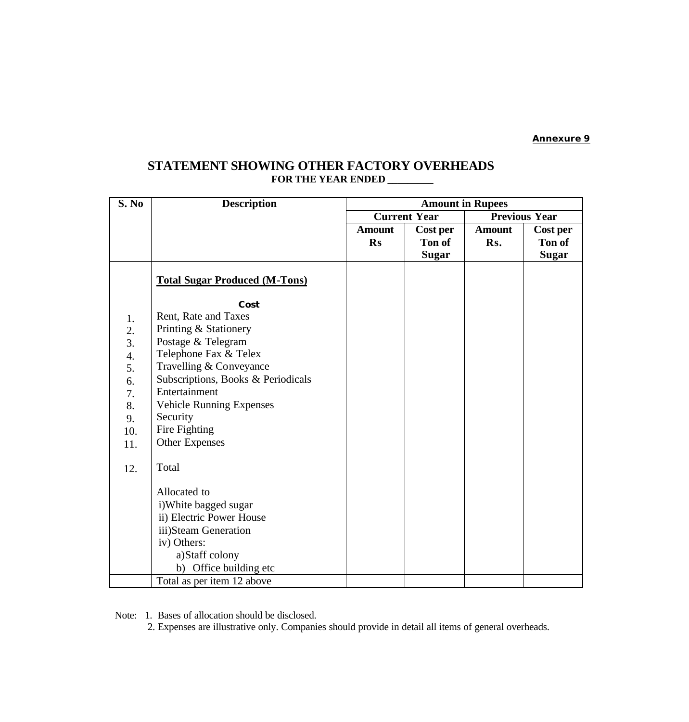## **STATEMENT SHOWING OTHER FACTORY OVERHEADS FOR THE YEAR ENDED \_\_\_\_\_\_\_\_\_**

| S. No            | <b>Description</b>                   | <b>Amount in Rupees</b> |              |                      |              |  |
|------------------|--------------------------------------|-------------------------|--------------|----------------------|--------------|--|
|                  |                                      | <b>Current Year</b>     |              | <b>Previous Year</b> |              |  |
|                  |                                      | <b>Amount</b>           | Cost per     | <b>Amount</b>        | Cost per     |  |
|                  |                                      | <b>Rs</b>               | Ton of       | Rs.                  | Ton of       |  |
|                  |                                      |                         | <b>Sugar</b> |                      | <b>Sugar</b> |  |
|                  | <b>Total Sugar Produced (M-Tons)</b> |                         |              |                      |              |  |
|                  | Cost                                 |                         |              |                      |              |  |
| 1.               | Rent, Rate and Taxes                 |                         |              |                      |              |  |
| 2.               | Printing & Stationery                |                         |              |                      |              |  |
| 3.               | Postage & Telegram                   |                         |              |                      |              |  |
| $\overline{4}$ . | Telephone Fax & Telex                |                         |              |                      |              |  |
| 5.               | Travelling & Conveyance              |                         |              |                      |              |  |
| 6.               | Subscriptions, Books & Periodicals   |                         |              |                      |              |  |
| 7.               | Entertainment                        |                         |              |                      |              |  |
| 8.               | <b>Vehicle Running Expenses</b>      |                         |              |                      |              |  |
| 9.               | Security                             |                         |              |                      |              |  |
| 10.              | Fire Fighting                        |                         |              |                      |              |  |
| 11.              | Other Expenses                       |                         |              |                      |              |  |
| 12.              | Total                                |                         |              |                      |              |  |
|                  | Allocated to                         |                         |              |                      |              |  |
|                  | i) White bagged sugar                |                         |              |                      |              |  |
|                  | ii) Electric Power House             |                         |              |                      |              |  |
|                  | iii)Steam Generation                 |                         |              |                      |              |  |
|                  | iv) Others:                          |                         |              |                      |              |  |
|                  | a)Staff colony                       |                         |              |                      |              |  |
|                  | b) Office building etc               |                         |              |                      |              |  |
|                  | Total as per item 12 above           |                         |              |                      |              |  |

Note: 1. Bases of allocation should be disclosed.

2. Expenses are illustrative only. Companies should provide in detail all items of general overheads.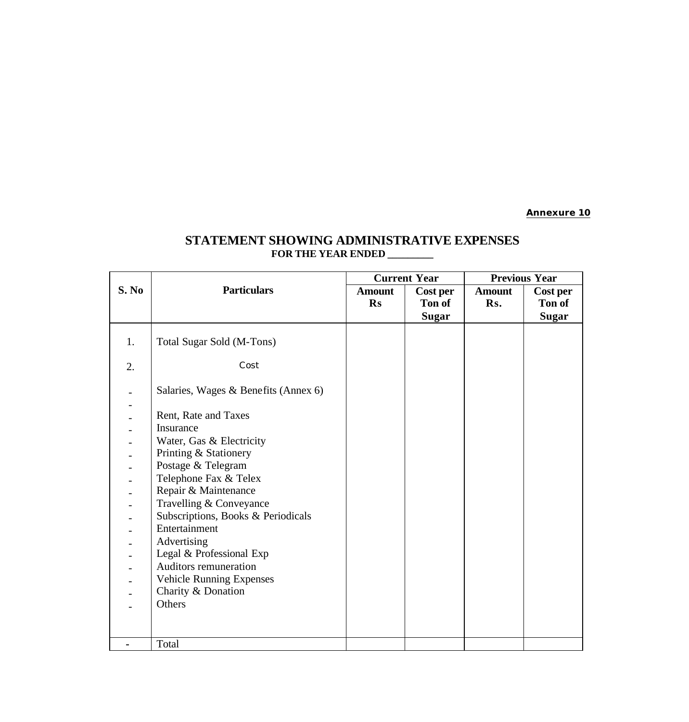# **STATEMENT SHOWING ADMINISTRATIVE EXPENSES FOR THE YEAR ENDED \_\_\_\_\_\_\_\_\_**

|       |                                      | <b>Current Year</b> |              | <b>Previous Year</b> |              |  |
|-------|--------------------------------------|---------------------|--------------|----------------------|--------------|--|
| S. No | <b>Particulars</b>                   | <b>Amount</b>       | Cost per     | <b>Amount</b>        | Cost per     |  |
|       |                                      | <b>Rs</b>           | Ton of       | Rs.                  | Ton of       |  |
|       |                                      |                     | <b>Sugar</b> |                      | <b>Sugar</b> |  |
|       |                                      |                     |              |                      |              |  |
| 1.    | Total Sugar Sold (M-Tons)            |                     |              |                      |              |  |
| 2.    | Cost                                 |                     |              |                      |              |  |
|       |                                      |                     |              |                      |              |  |
|       | Salaries, Wages & Benefits (Annex 6) |                     |              |                      |              |  |
|       |                                      |                     |              |                      |              |  |
|       | Rent, Rate and Taxes                 |                     |              |                      |              |  |
|       | Insurance                            |                     |              |                      |              |  |
|       | Water, Gas & Electricity             |                     |              |                      |              |  |
|       | Printing & Stationery                |                     |              |                      |              |  |
|       | Postage & Telegram                   |                     |              |                      |              |  |
|       | Telephone Fax & Telex                |                     |              |                      |              |  |
|       | Repair & Maintenance                 |                     |              |                      |              |  |
|       | Travelling & Conveyance              |                     |              |                      |              |  |
|       | Subscriptions, Books & Periodicals   |                     |              |                      |              |  |
|       | Entertainment                        |                     |              |                      |              |  |
|       | Advertising                          |                     |              |                      |              |  |
|       | Legal & Professional Exp             |                     |              |                      |              |  |
|       | Auditors remuneration                |                     |              |                      |              |  |
|       | <b>Vehicle Running Expenses</b>      |                     |              |                      |              |  |
|       | Charity & Donation                   |                     |              |                      |              |  |
|       | Others                               |                     |              |                      |              |  |
|       |                                      |                     |              |                      |              |  |
|       |                                      |                     |              |                      |              |  |
|       | Total                                |                     |              |                      |              |  |